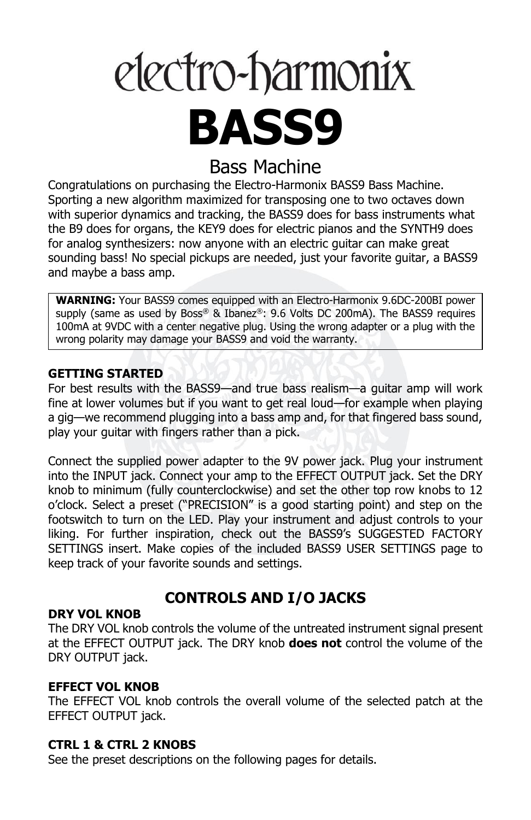# electro-harmonix **BASS9**

## Bass Machine

Congratulations on purchasing the Electro-Harmonix BASS9 Bass Machine. Sporting a new algorithm maximized for transposing one to two octaves down with superior dynamics and tracking, the BASS9 does for bass instruments what the B9 does for organs, the KEY9 does for electric pianos and the SYNTH9 does for analog synthesizers: now anyone with an electric guitar can make great sounding bass! No special pickups are needed, just your favorite guitar, a BASS9 and maybe a bass amp.

**WARNING:** Your BASS9 comes equipped with an Electro-Harmonix 9.6DC-200BI power supply (same as used by Boss® & Ibanez®:  $9.6$  Volts DC 200mA). The BASS9 requires 100mA at 9VDC with a center negative plug. Using the wrong adapter or a plug with the wrong polarity may damage your BASS9 and void the warranty.

#### **GETTING STARTED**

For best results with the BASS9—and true bass realism—a guitar amp will work fine at lower volumes but if you want to get real loud—for example when playing a gig—we recommend plugging into a bass amp and, for that fingered bass sound, play your guitar with fingers rather than a pick.

Connect the supplied power adapter to the 9V power jack. Plug your instrument into the INPUT jack. Connect your amp to the EFFECT OUTPUT jack. Set the DRY knob to minimum (fully counterclockwise) and set the other top row knobs to 12 o'clock. Select a preset ("PRECISION" is a good starting point) and step on the footswitch to turn on the LED. Play your instrument and adjust controls to your liking. For further inspiration, check out the BASS9's SUGGESTED FACTORY SETTINGS insert. Make copies of the included BASS9 USER SETTINGS page to keep track of your favorite sounds and settings.

## **CONTROLS AND I/O JACKS**

#### **DRY VOL KNOB**

The DRY VOL knob controls the volume of the untreated instrument signal present at the EFFECT OUTPUT jack. The DRY knob **does not** control the volume of the DRY OUTPUT jack.

#### **EFFECT VOL KNOB**

The EFFECT VOL knob controls the overall volume of the selected patch at the EFFECT OUTPUT jack.

#### **CTRL 1 & CTRL 2 KNOBS**

See the preset descriptions on the following pages for details.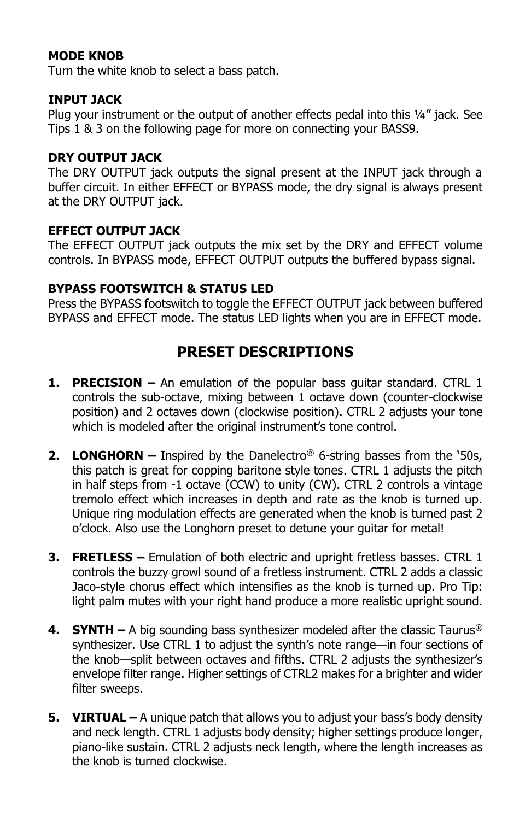#### **MODE KNOB**

Turn the white knob to select a bass patch.

#### **INPUT JACK**

Plug your instrument or the output of another effects pedal into this ¼" jack. See Tips 1 & 3 on the following page for more on connecting your BASS9.

#### **DRY OUTPUT JACK**

The DRY OUTPUT jack outputs the signal present at the INPUT jack through a buffer circuit. In either EFFECT or BYPASS mode, the dry signal is always present at the DRY OUTPUT jack.

#### **EFFECT OUTPUT JACK**

The EFFECT OUTPUT jack outputs the mix set by the DRY and EFFECT volume controls. In BYPASS mode, EFFECT OUTPUT outputs the buffered bypass signal.

#### **BYPASS FOOTSWITCH & STATUS LED**

Press the BYPASS footswitch to toggle the EFFECT OUTPUT jack between buffered BYPASS and EFFECT mode. The status LED lights when you are in EFFECT mode.

## **PRESET DESCRIPTIONS**

- **1. PRECISION –** An emulation of the popular bass guitar standard. CTRL 1 controls the sub-octave, mixing between 1 octave down (counter-clockwise position) and 2 octaves down (clockwise position). CTRL 2 adjusts your tone which is modeled after the original instrument's tone control.
- **2. LONGHORN –** Inspired by the Danelectro® 6-string basses from the '50s, this patch is great for copping baritone style tones. CTRL 1 adjusts the pitch in half steps from -1 octave (CCW) to unity (CW). CTRL 2 controls a vintage tremolo effect which increases in depth and rate as the knob is turned up. Unique ring modulation effects are generated when the knob is turned past 2 o'clock. Also use the Longhorn preset to detune your guitar for metal!
- **3. FRETLESS –** Emulation of both electric and upright fretless basses. CTRL 1 controls the buzzy growl sound of a fretless instrument. CTRL 2 adds a classic Jaco-style chorus effect which intensifies as the knob is turned up. Pro Tip: light palm mutes with your right hand produce a more realistic upright sound.
- **4. SYNTH –** A big sounding bass synthesizer modeled after the classic Taurus® synthesizer. Use CTRL 1 to adjust the synth's note range—in four sections of the knob—split between octaves and fifths. CTRL 2 adjusts the synthesizer's envelope filter range. Higher settings of CTRL2 makes for a brighter and wider filter sweeps.
- **5. VIRTUAL –** A unique patch that allows you to adjust your bass's body density and neck length. CTRL 1 adjusts body density; higher settings produce longer, piano-like sustain. CTRL 2 adjusts neck length, where the length increases as the knob is turned clockwise.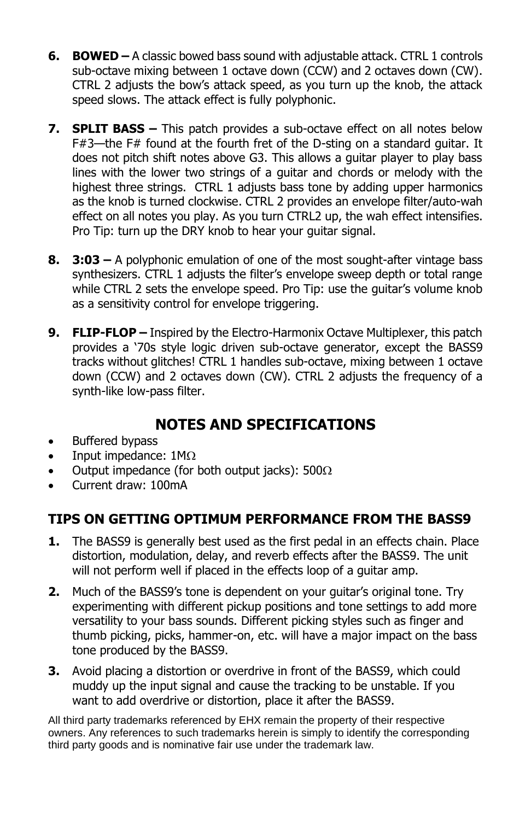- **6. BOWED –** A classic bowed bass sound with adjustable attack. CTRL 1 controls sub-octave mixing between 1 octave down (CCW) and 2 octaves down (CW). CTRL 2 adjusts the bow's attack speed, as you turn up the knob, the attack speed slows. The attack effect is fully polyphonic.
- **7. SPLIT BASS –** This patch provides a sub-octave effect on all notes below F#3—the F# found at the fourth fret of the D-sting on a standard guitar. It does not pitch shift notes above G3. This allows a guitar player to play bass lines with the lower two strings of a guitar and chords or melody with the highest three strings. CTRL 1 adjusts bass tone by adding upper harmonics as the knob is turned clockwise. CTRL 2 provides an envelope filter/auto-wah effect on all notes you play. As you turn CTRL2 up, the wah effect intensifies. Pro Tip: turn up the DRY knob to hear your guitar signal.
- **8. 3:03 –** A polyphonic emulation of one of the most sought-after vintage bass synthesizers. CTRL 1 adjusts the filter's envelope sweep depth or total range while CTRL 2 sets the envelope speed. Pro Tip: use the guitar's volume knob as a sensitivity control for envelope triggering.
- **9. FLIP-FLOP –** Inspired by the Electro-Harmonix Octave Multiplexer, this patch provides a '70s style logic driven sub-octave generator, except the BASS9 tracks without glitches! CTRL 1 handles sub-octave, mixing between 1 octave down (CCW) and 2 octaves down (CW). CTRL 2 adjusts the frequency of a synth-like low-pass filter.

## **NOTES AND SPECIFICATIONS**

- Buffered bypass
- Input impedance:  $1M\Omega$
- Output impedance (for both output jacks):  $500\Omega$
- Current draw: 100mA

## **TIPS ON GETTING OPTIMUM PERFORMANCE FROM THE BASS9**

- **1.** The BASS9 is generally best used as the first pedal in an effects chain. Place distortion, modulation, delay, and reverb effects after the BASS9. The unit will not perform well if placed in the effects loop of a guitar amp.
- **2.** Much of the BASS9's tone is dependent on your guitar's original tone. Try experimenting with different pickup positions and tone settings to add more versatility to your bass sounds. Different picking styles such as finger and thumb picking, picks, hammer-on, etc. will have a major impact on the bass tone produced by the BASS9.
- **3.** Avoid placing a distortion or overdrive in front of the BASS9, which could muddy up the input signal and cause the tracking to be unstable. If you want to add overdrive or distortion, place it after the BASS9.

All third party trademarks referenced by EHX remain the property of their respective owners. Any references to such trademarks herein is simply to identify the corresponding third party goods and is nominative fair use under the trademark law.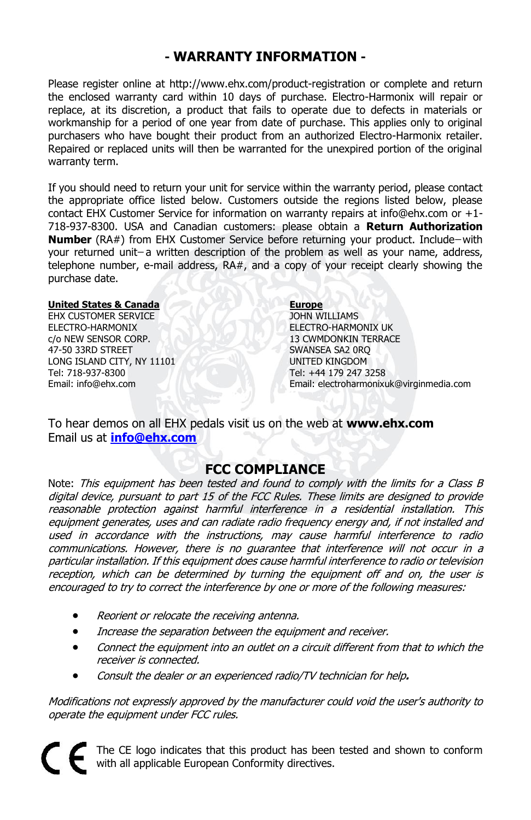#### **- WARRANTY INFORMATION -**

Please register online at http://www.ehx.com/product-registration or complete and return the enclosed warranty card within 10 days of purchase. Electro-Harmonix will repair or replace, at its discretion, a product that fails to operate due to defects in materials or workmanship for a period of one year from date of purchase. This applies only to original purchasers who have bought their product from an authorized Electro-Harmonix retailer. Repaired or replaced units will then be warranted for the unexpired portion of the original warranty term.

If you should need to return your unit for service within the warranty period, please contact the appropriate office listed below. Customers outside the regions listed below, please contact EHX Customer Service for information on warranty repairs at info@ehx.com or +1- 718-937-8300. USA and Canadian customers: please obtain a **Return Authorization Number** (RA#) from EHX Customer Service before returning your product. Include-with your returned unit-a written description of the problem as well as your name, address, telephone number, e-mail address, RA#, and a copy of your receipt clearly showing the purchase date.

#### **United States & Canada**

EHX CUSTOMER SERVICE ELECTRO-HARMONIX c/o NEW SENSOR CORP. 47-50 33RD STREET LONG ISLAND CITY, NY 11101 Tel: 718-937-8300 Email: info@ehx.com

**Europe** JOHN WILLIAMS ELECTRO-HARMONIX UK 13 CWMDONKIN TERRACE SWANSEA SA2 0RQ UNITED KINGDOM Tel: +44 179 247 3258 Email: electroharmonixuk@virginmedia.com

To hear demos on all EHX pedals visit us on the web at **www.ehx.com** Email us at **[info@ehx.com](mailto:info@ehx.com)**

#### **FCC COMPLIANCE**

Note: This equipment has been tested and found to comply with the limits for a Class B digital device, pursuant to part 15 of the FCC Rules. These limits are designed to provide reasonable protection against harmful interference in a residential installation. This equipment generates, uses and can radiate radio frequency energy and, if not installed and used in accordance with the instructions, may cause harmful interference to radio communications. However, there is no guarantee that interference will not occur in a particular installation. If this equipment does cause harmful interference to radio or television reception, which can be determined by turning the equipment off and on, the user is encouraged to try to correct the interference by one or more of the following measures:

- Reorient or relocate the receiving antenna.
- Increase the separation between the equipment and receiver.
- Connect the equipment into an outlet on a circuit different from that to which the receiver is connected.
- Consult the dealer or an experienced radio/TV technician for help**.**

Modifications not expressly approved by the manufacturer could void the user's authority to operate the equipment under FCC rules.

The CE logo indicates that this product has been tested and shown to conform with all applicable European Conformity directives.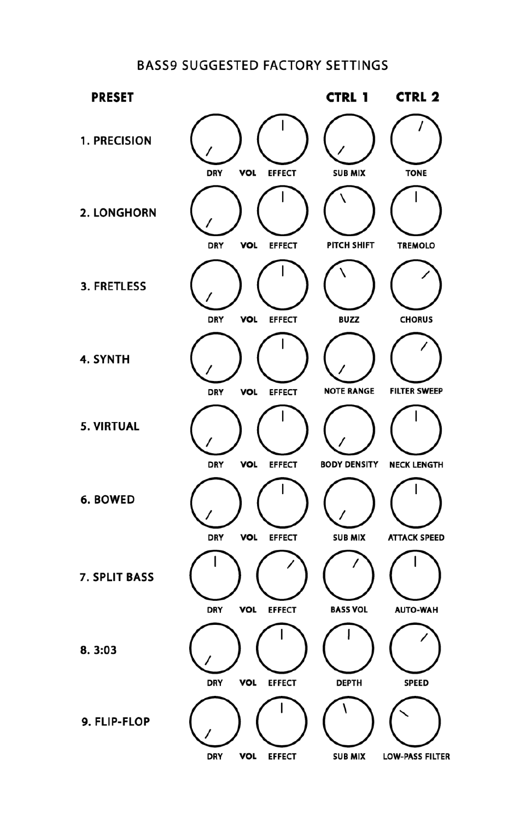#### **BASS9 SUGGESTED FACTORY SETTINGS**